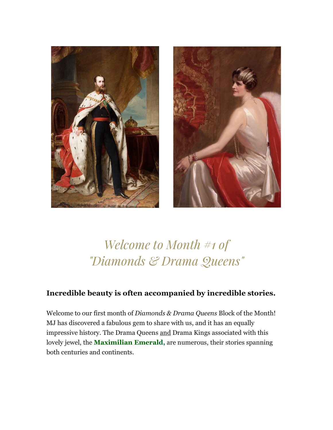



## *Welcome to Month #1 of "Diamonds & Drama Queens"*

## **Incredible beauty is often accompanied by incredible stories.**

Welcome to our first month of *Diamonds & Drama Queens* Block of the Month! MJ has discovered a fabulous gem to share with us, and it has an equally impressive history. The Drama Queens and Drama Kings associated with this lovely jewel, the **Maximilian Emerald,** are numerous, their stories spanning both centuries and continents.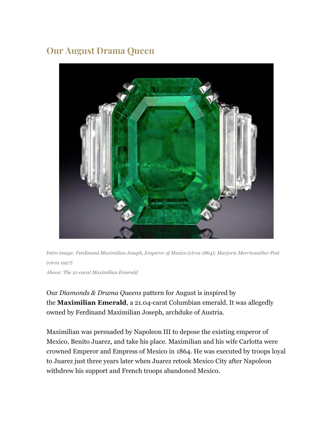## **Our August Drama Queen**



*Intro image: Ferdinand Maximilian Joseph, Emperor of Mexico (circa 1864); Marjorie Merriweather Post (circa 1927) Above: The 21-carat Maximilian Emerald*

Our *Diamonds & Drama Queens* pattern for August is inspired by the **Maximilian Emerald**, a 21.04-carat Columbian emerald. It was allegedly owned by Ferdinand Maximilian Joseph, archduke of Austria.

Maximilian was persuaded by Napoleon III to depose the existing emperor of Mexico, Benito Juarez, and take his place. Maximilian and his wife Carlotta were crowned Emperor and Empress of Mexico in 1864. He was executed by troops loyal to Juarez just three years later when Juarez retook Mexico City after Napoleon withdrew his support and French troops abandoned Mexico.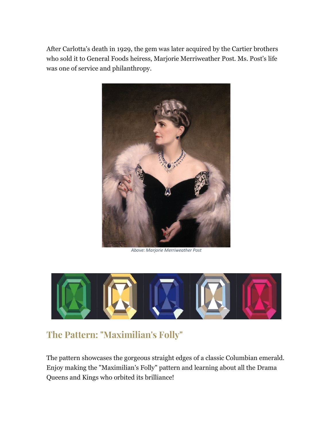After Carlotta's death in 1929, the gem was later acquired by the Cartier brothers who sold it to General Foods heiress, Marjorie Merriweather Post. Ms. Post's life was one of service and philanthropy.



*Above: Marjorie Merriweather Post*



## **The Pattern: "Maximilian's Folly"**

The pattern showcases the gorgeous straight edges of a classic Columbian emerald. Enjoy making the "Maximilian's Folly" pattern and learning about all the Drama Queens and Kings who orbited its brilliance!